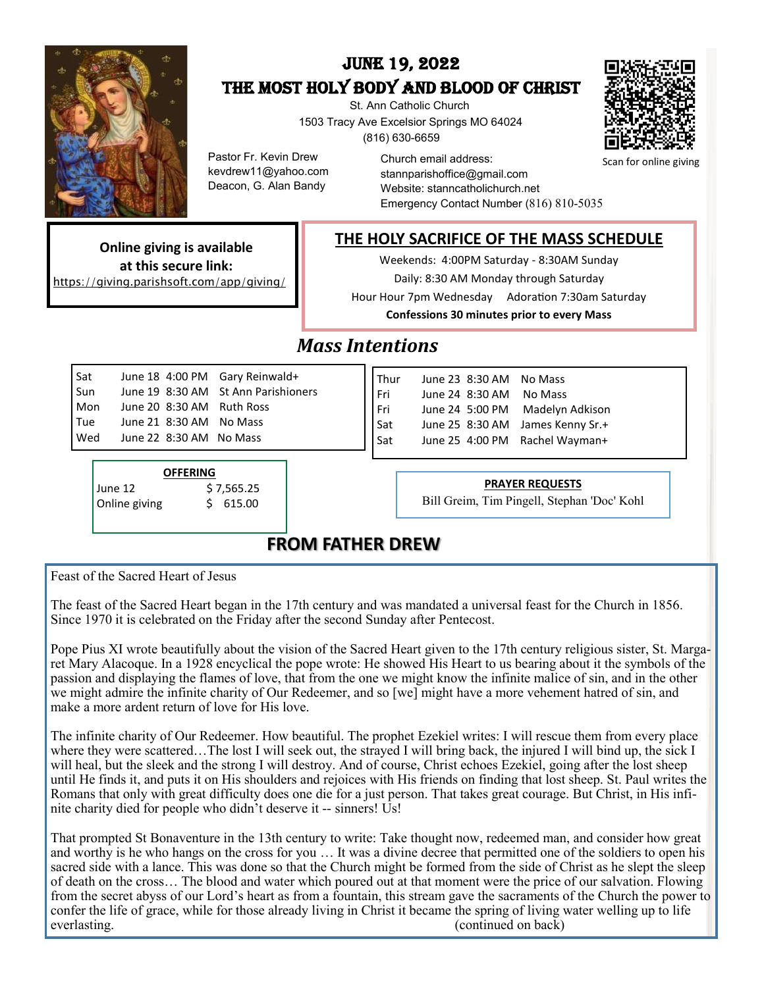

# June 19, 2022 THE MOST HOLY BODY AND BLOOD OF CHRIST

 St. Ann Catholic Church 1503 Tracy Ave Excelsior Springs MO 64024 (816) 630-6659



Scan for online giving

Pastor Fr. Kevin Drew kevdrew11@yahoo.com Deacon, G. Alan Bandy

Church email address: stannparishoffice@gmail.com Website: stanncatholichurch.net Emergency Contact Number (816) 810-5035

**THE HOLY SACRIFICE OF THE MASS SCHEDULE**

**Online giving is available at this secure link:** https://giving.parishsoft.com/app/giving/

Weekends: 4:00PM Saturday - 8:30AM Sunday Daily: 8:30 AM Monday through Saturday

Hour Hour 7pm Wednesday Adoration 7:30am Saturday **Confessions 30 minutes prior to every Mass**

# *Mass Intentions*

| Sat |                         | June 18 4:00 PM Gary Reinwald+      |
|-----|-------------------------|-------------------------------------|
| Sun |                         | June 19 8:30 AM St Ann Parishioners |
| Mon |                         | June 20 8:30 AM Ruth Ross           |
| Tue |                         | June 21 8:30 AM No Mass             |
| Wed | June 22 8:30 AM No Mass |                                     |
|     |                         |                                     |

**OFFERING**  June 12 \$ 7,565.25 Online giving  $$615.00$ 

Thur June 23 8:30 AM No Mass Fri June 24 8:30 AM No Mass Fri June 24 5:00 PM Madelyn Adkison Sat June 25 8:30 AM James Kenny Sr.+ Sat June 25 4:00 PM Rachel Wayman+

#### **PRAYER REQUESTS**

Bill Greim, Tim Pingell, Stephan 'Doc' Kohl

## **FROM FATHER DREW**

Feast of the Sacred Heart of Jesus

The feast of the Sacred Heart began in the 17th century and was mandated a universal feast for the Church in 1856. Since 1970 it is celebrated on the Friday after the second Sunday after Pentecost.

Pope Pius XI wrote beautifully about the vision of the Sacred Heart given to the 17th century religious sister, St. Margaret Mary Alacoque. In a 1928 encyclical the pope wrote: He showed His Heart to us bearing about it the symbols of the passion and displaying the flames of love, that from the one we might know the infinite malice of sin, and in the other we might admire the infinite charity of Our Redeemer, and so [we] might have a more vehement hatred of sin, and make a more ardent return of love for His love.

The infinite charity of Our Redeemer. How beautiful. The prophet Ezekiel writes: I will rescue them from every place where they were scattered...The lost I will seek out, the strayed I will bring back, the injured I will bind up, the sick I will heal, but the sleek and the strong I will destroy. And of course, Christ echoes Ezekiel, going after the lost sheep until He finds it, and puts it on His shoulders and rejoices with His friends on finding that lost sheep. St. Paul writes the Romans that only with great difficulty does one die for a just person. That takes great courage. But Christ, in His infinite charity died for people who didn't deserve it -- sinners! Us!

That prompted St Bonaventure in the 13th century to write: Take thought now, redeemed man, and consider how great and worthy is he who hangs on the cross for you … It was a divine decree that permitted one of the soldiers to open his sacred side with a lance. This was done so that the Church might be formed from the side of Christ as he slept the sleep of death on the cross… The blood and water which poured out at that moment were the price of our salvation. Flowing from the secret abyss of our Lord's heart as from a fountain, this stream gave the sacraments of the Church the power to confer the life of grace, while for those already living in Christ it became the spring of living water welling up to life everlasting. (continued on back)